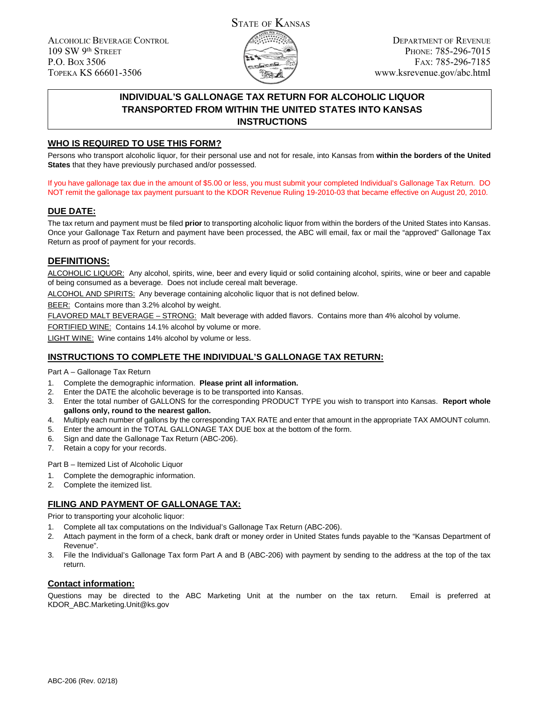ALCOHOLIC BEVERAGE CONTROL 109 SW 9th STREET P.O. BOX 3506 TOPEKA KS 66601-3506



# **INDIVIDUAL'S GALLONAGE TAX RETURN FOR ALCOHOLIC LIQUOR TRANSPORTED FROM WITHIN THE UNITED STATES INTO KANSAS INSTRUCTIONS**

## **WHO IS REQUIRED TO USE THIS FORM?**

Persons who transport alcoholic liquor, for their personal use and not for resale, into Kansas from **within the borders of the United States** that they have previously purchased and/or possessed.

If you have gallonage tax due in the amount of \$5.00 or less, you must submit your completed Individual's Gallonage Tax Return. DO NOT remit the gallonage tax payment pursuant to the KDOR Revenue Ruling 19-2010-03 that became effective on August 20, 2010.

## **DUE DATE:**

The tax return and payment must be filed **prior** to transporting alcoholic liquor from within the borders of the United States into Kansas. Once your Gallonage Tax Return and payment have been processed, the ABC will email, fax or mail the "approved" Gallonage Tax Return as proof of payment for your records.

## **DEFINITIONS:**

ALCOHOLIC LIQUOR: Any alcohol, spirits, wine, beer and every liquid or solid containing alcohol, spirits, wine or beer and capable of being consumed as a beverage. Does not include cereal malt beverage.

ALCOHOL AND SPIRITS: Any beverage containing alcoholic liquor that is not defined below.

BEER: Contains more than 3.2% alcohol by weight.

FLAVORED MALT BEVERAGE – STRONG: Malt beverage with added flavors. Contains more than 4% alcohol by volume.

FORTIFIED WINE: Contains 14.1% alcohol by volume or more.

LIGHT WINE: Wine contains 14% alcohol by volume or less.

### **INSTRUCTIONS TO COMPLETE THE INDIVIDUAL'S GALLONAGE TAX RETURN:**

Part A – Gallonage Tax Return

- 1. Complete the demographic information. **Please print all information.**
- 2. Enter the DATE the alcoholic beverage is to be transported into Kansas.
- 3. Enter the total number of GALLONS for the corresponding PRODUCT TYPE you wish to transport into Kansas. **Report whole gallons only, round to the nearest gallon.**
- 4. Multiply each number of gallons by the corresponding TAX RATE and enter that amount in the appropriate TAX AMOUNT column.
- 5. Enter the amount in the TOTAL GALLONAGE TAX DUE box at the bottom of the form.
- 6. Sign and date the Gallonage Tax Return (ABC-206).
- 7. Retain a copy for your records.

Part B – Itemized List of Alcoholic Liquor

- 1. Complete the demographic information.
- 2. Complete the itemized list.

### **FILING AND PAYMENT OF GALLONAGE TAX:**

Prior to transporting your alcoholic liquor:

- 1. Complete all tax computations on the Individual's Gallonage Tax Return (ABC-206).
- 2. Attach payment in the form of a check, bank draft or money order in United States funds payable to the "Kansas Department of Revenue".
- 3. File the Individual's Gallonage Tax form Part A and B (ABC-206) with payment by sending to the address at the top of the tax return.

#### **Contact information:**

Questions may be directed to the ABC Marketing Unit at the number on the tax return. Email is preferred at KDOR\_ABC.Marketing.Unit@ks.gov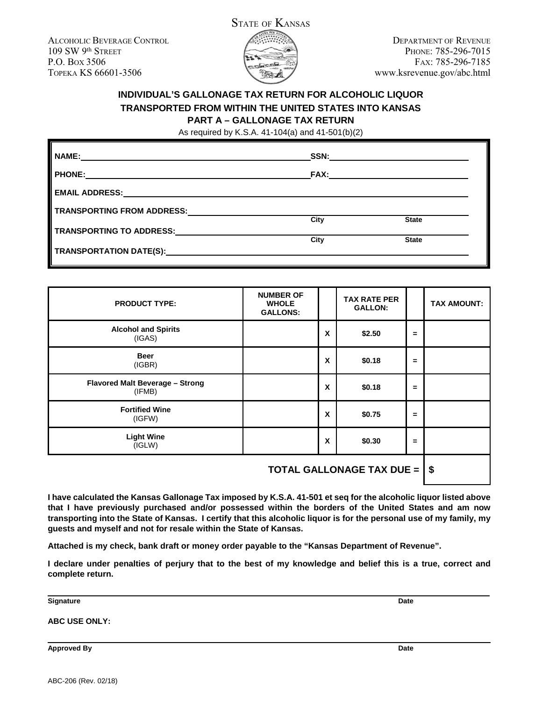ALCOHOLIC BEVERAGE CONTROL 109 SW 9th STREET P.O. BOX 3506 TOPEKA KS 66601-3506



DEPARTMENT OF REVENUE PHONE: 785-296-7015 FAX: 785-296-7185 www.ksrevenue.gov/abc.html

# **INDIVIDUAL'S GALLONAGE TAX RETURN FOR ALCOHOLIC LIQUOR TRANSPORTED FROM WITHIN THE UNITED STATES INTO KANSAS PART A – GALLONAGE TAX RETURN**

As required by K.S.A. 41-104(a) and 41-501(b)(2)

| <b>NAME:</b>                                                                         | SSN:        |              |
|--------------------------------------------------------------------------------------|-------------|--------------|
| <b>PHONE:</b><br><u> 1989 - Andrea Stadt Britain, amerikansk politiker (d. 1989)</u> | <b>FAX:</b> |              |
| <b>EMAIL ADDRESS:</b>                                                                |             |              |
| TRANSPORTING FROM ADDRESS: TRANSPORTING FROM ADDRESS:                                | City        | <b>State</b> |
| TRANSPORTING TO ADDRESS: TRANSPORTING TO ADDRESS:                                    |             |              |
|                                                                                      | City        | <b>State</b> |
|                                                                                      |             |              |

| <b>PRODUCT TYPE:</b>                      | <b>NUMBER OF</b><br><b>WHOLE</b><br><b>GALLONS:</b> |   | <b>TAX RATE PER</b><br><b>GALLON:</b> |          | <b>TAX AMOUNT:</b> |  |
|-------------------------------------------|-----------------------------------------------------|---|---------------------------------------|----------|--------------------|--|
| <b>Alcohol and Spirits</b><br>(IGAS)      |                                                     | X | \$2.50                                | $\equiv$ |                    |  |
| <b>Beer</b><br>(IGBR)                     |                                                     | X | \$0.18                                | $=$      |                    |  |
| Flavored Malt Beverage - Strong<br>(IFMB) |                                                     | X | \$0.18                                | $\equiv$ |                    |  |
| <b>Fortified Wine</b><br>(IGFW)           |                                                     | X | \$0.75                                | $\equiv$ |                    |  |
| <b>Light Wine</b><br>(IGLW)               |                                                     | X | \$0.30                                | $\equiv$ |                    |  |
| <b>TOTAL GALLONAGE TAX DUE =</b><br>\$    |                                                     |   |                                       |          |                    |  |

**I have calculated the Kansas Gallonage Tax imposed by K.S.A. 41-501 et seq for the alcoholic liquor listed above that I have previously purchased and/or possessed within the borders of the United States and am now transporting into the State of Kansas. I certify that this alcoholic liquor is for the personal use of my family, my guests and myself and not for resale within the State of Kansas.**

**Attached is my check, bank draft or money order payable to the "Kansas Department of Revenue".**

**I declare under penalties of perjury that to the best of my knowledge and belief this is a true, correct and complete return.**

**Signature Date**

**ABC USE ONLY:**

**Approved By Date**